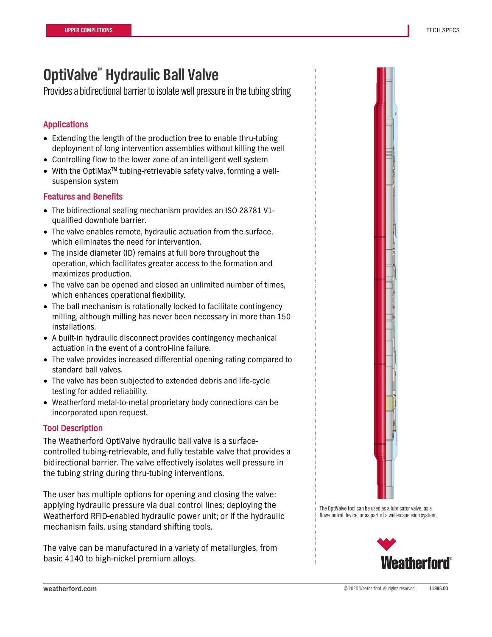## **OptiValve™ Hydraulic Ball Valve**

Provides a bidirectional barrier to isolate well pressure in the tubing string

### Applications

- Extending the length of the production tree to enable thru-tubing deployment of long intervention assemblies without killing the well
- Controlling flow to the lower zone of an intelligent well system
- With the OptiMax™ tubing-retrievable safety valve, forming a wellsuspension system

#### Features and Benefits

- The bidirectional sealing mechanism provides an ISO 28781 V1 qualified downhole barrier.
- The valve enables remote, hydraulic actuation from the surface, which eliminates the need for intervention.
- The inside diameter (ID) remains at full bore throughout the operation, which facilitates greater access to the formation and maximizes production.
- The valve can be opened and closed an unlimited number of times, which enhances operational flexibility.
- The ball mechanism is rotationally locked to facilitate contingency milling, although milling has never been necessary in more than 150 installations.
- A built-in hydraulic disconnect provides contingency mechanical actuation in the event of a control-line failure.
- The valve provides increased differential opening rating compared to standard ball valves.
- The valve has been subjected to extended debris and life-cycle testing for added reliability.
- Weatherford metal-to-metal proprietary body connections can be incorporated upon request.

#### Tool Description

The Weatherford OptiValve hydraulic ball valve is a surfacecontrolled tubing-retrievable, and fully testable valve that provides a bidirectional barrier. The valve effectively isolates well pressure in the tubing string during thru-tubing interventions.

The user has multiple options for opening and closing the valve: applying hydraulic pressure via dual control lines; deploying the Weatherford RFID-enabled hydraulic power unit; or if the hydraulic mechanism fails, using standard shifting tools.

The valve can be manufactured in a variety of metallurgies, from basic 4140 to high-nickel premium alloys.



The OptiValve tool can be used as a lubricator valve, as a flow-control device, or as part of a well-suspension system.